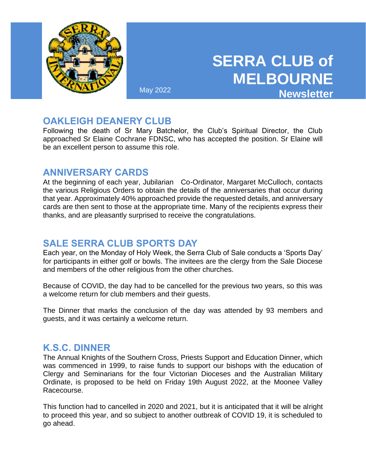

# **SERRA CLUB of MELBOURNE** May 2022 **Newsletter**

# **OAKLEIGH DEANERY CLUB**

Following the death of Sr Mary Batchelor, the Club's Spiritual Director, the Club approached Sr Elaine Cochrane FDNSC, who has accepted the position. Sr Elaine will be an excellent person to assume this role.

## **ANNIVERSARY CARDS**

At the beginning of each year, Jubilarian Co-Ordinator, Margaret McCulloch, contacts the various Religious Orders to obtain the details of the anniversaries that occur during that year. Approximately 40% approached provide the requested details, and anniversary cards are then sent to those at the appropriate time. Many of the recipients express their thanks, and are pleasantly surprised to receive the congratulations.

# **SALE SERRA CLUB SPORTS DAY**

Each year, on the Monday of Holy Week, the Serra Club of Sale conducts a 'Sports Day' for participants in either golf or bowls. The invitees are the clergy from the Sale Diocese and members of the other religious from the other churches.

Because of COVID, the day had to be cancelled for the previous two years, so this was a welcome return for club members and their guests.

The Dinner that marks the conclusion of the day was attended by 93 members and guests, and it was certainly a welcome return.

### **K.S.C. DINNER**

The Annual Knights of the Southern Cross, Priests Support and Education Dinner, which was commenced in 1999, to raise funds to support our bishops with the education of Clergy and Seminarians for the four Victorian Dioceses and the Australian Military Ordinate, is proposed to be held on Friday 19th August 2022, at the Moonee Valley Racecourse.

This function had to cancelled in 2020 and 2021, but it is anticipated that it will be alright to proceed this year, and so subject to another outbreak of COVID 19, it is scheduled to go ahead.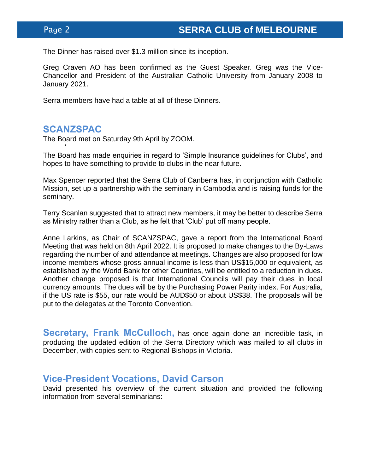The Dinner has raised over \$1.3 million since its inception.

Greg Craven AO has been confirmed as the Guest Speaker. Greg was the Vice-Chancellor and President of the Australian Catholic University from January 2008 to January 2021.

Serra members have had a table at all of these Dinners.

### **SCANZSPAC**

'

The Board met on Saturday 9th April by ZOOM.

The Board has made enquiries in regard to 'Simple Insurance guidelines for Clubs', and hopes to have something to provide to clubs in the near future.

Max Spencer reported that the Serra Club of Canberra has, in conjunction with Catholic Mission, set up a partnership with the seminary in Cambodia and is raising funds for the seminary.

Terry Scanlan suggested that to attract new members, it may be better to describe Serra as Ministry rather than a Club, as he felt that 'Club' put off many people.

Anne Larkins, as Chair of SCANZSPAC, gave a report from the International Board Meeting that was held on 8th April 2022. It is proposed to make changes to the By-Laws regarding the number of and attendance at meetings. Changes are also proposed for low income members whose gross annual income is less than US\$15,000 or equivalent, as established by the World Bank for other Countries, will be entitled to a reduction in dues. Another change proposed is that International Councils will pay their dues in local currency amounts. The dues will be by the Purchasing Power Parity index. For Australia, if the US rate is \$55, our rate would be AUD\$50 or about US\$38. The proposals will be put to the delegates at the Toronto Convention.

**Secretary, Frank McCulloch,** has once again done an incredible task, in producing the updated edition of the Serra Directory which was mailed to all clubs in December, with copies sent to Regional Bishops in Victoria.

### **Vice-President Vocations, David Carson**

David presented his overview of the current situation and provided the following information from several seminarians: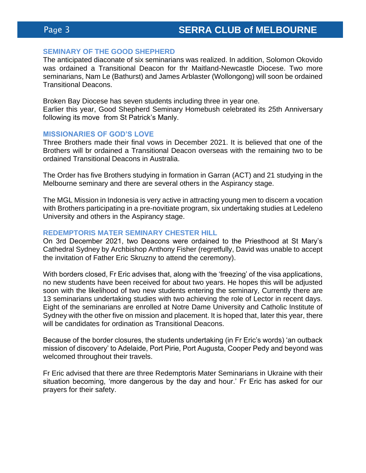#### **SEMINARY OF THE GOOD SHEPHERD**

The anticipated diaconate of six seminarians was realized. In addition, Solomon Okovido was ordained a Transitional Deacon for thr Maitland-Newcastle Diocese. Two more seminarians, Nam Le (Bathurst) and James Arblaster (Wollongong) will soon be ordained Transitional Deacons.

Broken Bay Diocese has seven students including three in year one. Earlier this year, Good Shepherd Seminary Homebush celebrated its 25th Anniversary following its move from St Patrick's Manly.

#### **MISSIONARIES OF GOD'S LOVE**

Three Brothers made their final vows in December 2021. It is believed that one of the Brothers will br ordained a Transitional Deacon overseas with the remaining two to be ordained Transitional Deacons in Australia.

The Order has five Brothers studying in formation in Garran (ACT) and 21 studying in the Melbourne seminary and there are several others in the Aspirancy stage.

The MGL Mission in Indonesia is very active in attracting young men to discern a vocation with Brothers participating in a pre-novitiate program, six undertaking studies at Ledeleno University and others in the Aspirancy stage.

#### **REDEMPTORIS MATER SEMINARY CHESTER HILL**

On 3rd December 2021, two Deacons were ordained to the Priesthood at St Mary's Cathedral Sydney by Archbishop Anthony Fisher (regretfully, David was unable to accept the invitation of Father Eric Skruzny to attend the ceremony).

With borders closed, Fr Eric advises that, along with the 'freezing' of the visa applications, no new students have been received for about two years. He hopes this will be adjusted soon with the likelihood of two new students entering the seminary, Currently there are 13 seminarians undertaking studies with two achieving the role of Lector in recent days. Eight of the seminarians are enrolled at Notre Dame University and Catholic Institute of Sydney with the other five on mission and placement. It is hoped that, later this year, there will be candidates for ordination as Transitional Deacons.

Because of the border closures, the students undertaking (in Fr Eric's words) 'an outback mission of discovery' to Adelaide, Port Pirie, Port Augusta, Cooper Pedy and beyond was welcomed throughout their travels.

Fr Eric advised that there are three Redemptoris Mater Seminarians in Ukraine with their situation becoming, 'more dangerous by the day and hour.' Fr Eric has asked for our prayers for their safety.